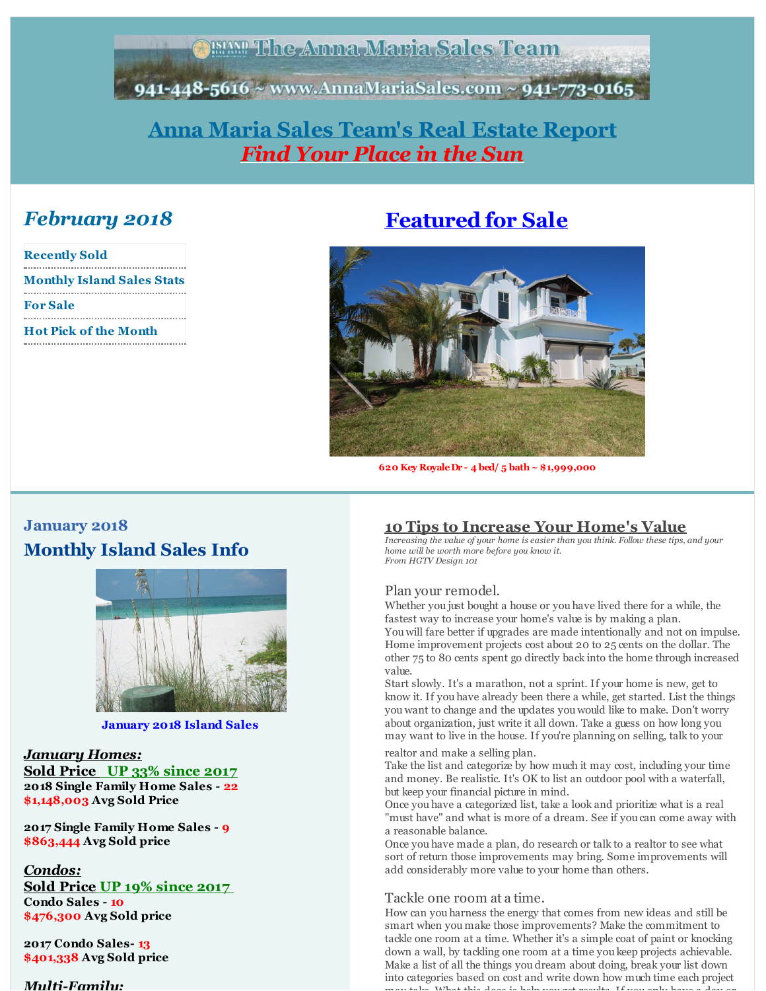**ABIAN The Anna Maria Sales Team** 

<span id="page-0-0"></span>941-448-5616 ~ www.AnnaMariaSales.com ~ 941-773-0165

## **Anna Maria Sales [Team's](http://r20.rs6.net/tn.jsp?f=001ElMSZhcLPgFmzrEKt3IjBUJc2_WBsbz948XRjmdRZRJQUJgejFfth8AlViniTfaOq6wxibatYrPZ-RheZu7Sd6hW5gOdxqZ6jOlRNT8uRdkqhy33AMLVtaXuut7VqUNaFOwISJdfz0A8X0REFc5kkOW1TRtC58BWk0LlmEC22ncZYHKiMCn3Jw==&c=&ch=) Real Estate Report** *Find Your Place in the Sun*

## *February 2018*

| <b>Recently Sold</b>              |
|-----------------------------------|
| <b>Monthly Island Sales Stats</b> |
|                                   |
| <b>For Sale</b>                   |
|                                   |
| <b>Hot Pick of the Month</b>      |
|                                   |

# **[Featured](http://r20.rs6.net/tn.jsp?f=001ElMSZhcLPgFmzrEKt3IjBUJc2_WBsbz948XRjmdRZRJQUJgejFfth9vAKLnX9PCEgvezn8AF4wK1OozoF4JezjcpU680h3FyFgrQ_eqEeqX72eG1emA96-jmnFh9xvpZTXR_vFpjPZWPq0pi-CFc0mnkqOBtkxUIoJq3F3TxTmud95uRGRKJMxkkG5ghWEe_LVv8wcr8acY3mJo0Sb-o97CyHnV3z2qY7tBbpQDYiGk=&c=&ch=) for Sale**



**620 Key RoyaleDr - 4 bed/ 5 bath~ \$1,999,000**

## **January 2018 Monthly Island Sales Info**



**January 2018 Island Sales**

## *January Homes:*

**Sold Price UP 33% since 2017 2018 Single Family Home Sales - 22 \$1,148,003 Avg Sold Price**

**2017 Single Family Home Sales - 9 \$863,444 Avg Sold price**

#### *Condos:*

#### **Sold Price UP 19% since 2017 Condo Sales - 10 \$476,300 Avg Sold price**

**2017 Condo Sales- 13 \$401,338 Avg Sold price**

#### *Multi-Family:*

## **10 Tips to Increase Your Home's Value**

*Increasing the value of your home is easier than you think. Follow these tips, and your home will be worth more before you know it. From HGTV Design 101*

#### Plan your remodel.

Whether you just bought a house or you have lived there for a while, the fastest way to increase your home's value is by making a plan. You will fare better if upgrades are made intentionally and not on impulse. Home improvement projects cost about 20 to 25 cents on the dollar. The other 75 to 80 cents spent go directly back into the home through increased value.

Start slowly. It's a marathon, not a sprint. If your home is new, get to know it. If you have already been there a while, get started. List the things you want to change and the updates you would like to make. Don't worry about organization, just write it all down. Take a guess on how long you may want to live in the house. If you're planning on selling, talk to your

#### realtor and make a selling plan.

Take the list and categorize by how much it may cost, including your time and money. Be realistic. It's OK to list an outdoor pool with a waterfall, but keep your financial picture in mind.

Once you have a categorized list, take a look and prioritize what is a real "must have" and what is more of a dream. See if you can come away with a reasonable balance.

Once you have made a plan, do research or talk to a realtor to see what sort of return those improvements may bring. Some improvements will add considerably more value to your home than others.

## Tackle one room at a time.

How can you harness the energy that comes from new ideas and still be smart when you make those improvements? Make the commitment to tackle one room at a time. Whether it's a simple coat of paint or knocking down a wall, by tackling one room at a time you keep projects achievable. Make a list of all the things you dream about doing, break your list down into categories based on cost and write down how much time each project may take. What this does is help you get results. If you only have a day or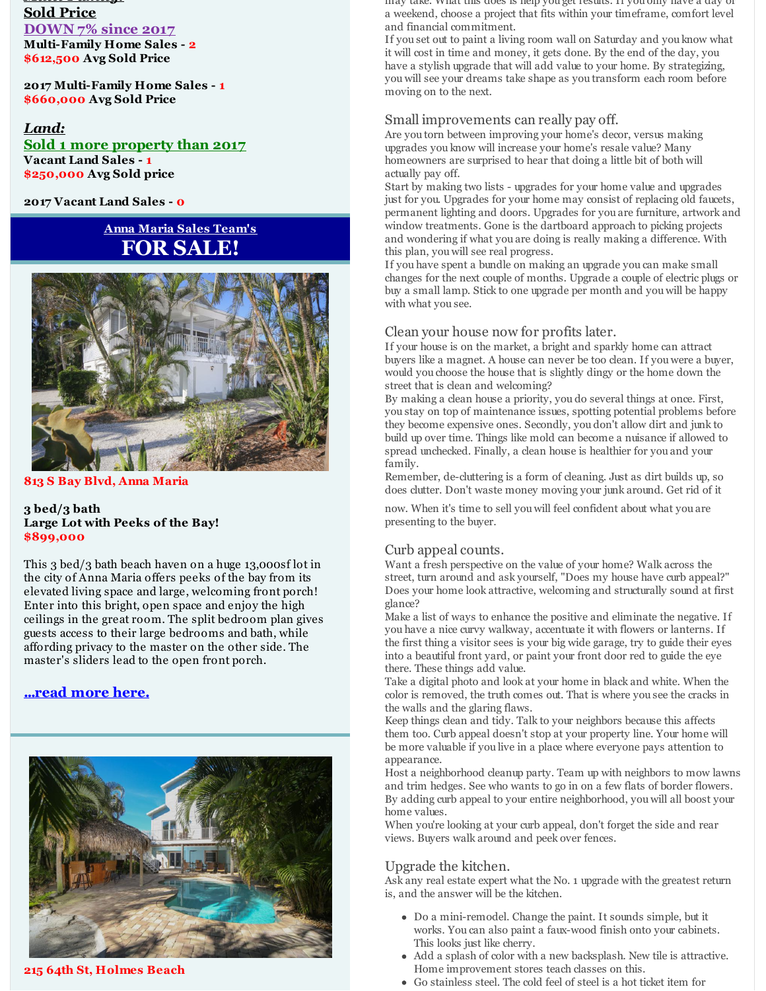#### *Multi-Family:* **Sold Price DOWN 7% since 2017 Multi-Family Home Sales - 2 \$612,500 Avg Sold Price**

**2017 Multi-Family Home Sales - 1 \$660,000 Avg Sold Price**

#### *Land:* **Sold 1 more property than 2017 Vacant Land Sales - 1 \$250,000 Avg Sold price**

**2017 Vacant Land Sales - 0**

## **Anna Maria Sales Team's FOR SALE!**



**813 S Bay Blvd, Anna Maria**

#### **3 bed/3 bath Large Lot with Peeks of the Bay! \$899,000**

This 3 bed/3 bath beach haven on a huge 13,000sf lot in the city of Anna Maria offers peeks of the bay from its elevated living space and large, welcoming front porch! Enter into this bright, open space and enjoy the high ceilings in the great room. The split bedroom plan gives guests access to their large bedrooms and bath, while affording privacy to the master on the other side. The master's sliders lead to the open front porch.

#### **[...read](http://r20.rs6.net/tn.jsp?f=001ElMSZhcLPgFmzrEKt3IjBUJc2_WBsbz948XRjmdRZRJQUJgejFfth__Ld3hBluluzvHizWU8wUSjwzScTGWAB8SuPm-WZLFvDQDYbVFEtrNEj6_CokkENRpHbecY9Ny24EmYMPcEamt4-V2CDJvd4M44LvqJ2UDIaCvNYa15V8MHATEJNQT1NRzFofnQzNKnewd7cMg5ff4iZlBEKINsxxNnPqZzDucKr0InDnMllZMvUCDAQVOM-w==&c=&ch=) more here.**



**215 64th St, Holmes Beach**

may take. What this does is help you get results. If you only have a day or a weekend, choose a project that fits within your timeframe, comfort level and financial commitment.

If you set out to paint a living room wall on Saturday and you know what it will cost in time and money, it gets done. By the end of the day, you have a stylish upgrade that will add value to your home. By strategizing, you will see your dreams take shape as you transform each room before moving on to the next.

#### Small improvements can really pay off.

Are you torn between improving your home's decor, versus making upgrades you know will increase your home's resale value? Many homeowners are surprised to hear that doing a little bit of both will actually pay off.

Start by making two lists - upgrades for your home value and upgrades just for you. Upgrades for your home may consist of replacing old faucets, permanent lighting and doors. Upgrades for you are furniture, artwork and window treatments. Gone is the dartboard approach to picking projects and wondering if what you are doing is really making a difference. With this plan, you will see real progress.

If you have spent a bundle on making an upgrade you can make small changes for the next couple of months. Upgrade a couple of electric plugs or buy a small lamp. Stick to one upgrade per month and you will be happy with what you see.

#### Clean your house now for profits later.

If your house is on the market, a bright and sparkly home can attract buyers like a magnet. A house can never be too clean. If you were a buyer, would you choose the house that is slightly dingy or the home down the street that is clean and welcoming?

By making a clean house a priority, you do several things at once. First, you stay on top of maintenance issues, spotting potential problems before they become expensive ones. Secondly, you don't allow dirt and junk to build up over time. Things like mold can become a nuisance if allowed to spread unchecked. Finally, a clean house is healthier for you and your family.

Remember, de-cluttering is a form of cleaning. Just as dirt builds up, so does clutter. Don't waste money moving your junk around. Get rid of it

now. When it's time to sell you will feel confident about what you are presenting to the buyer.

#### Curb appeal counts.

Want a fresh perspective on the value of your home? Walk across the street, turn around and ask yourself, "Does my house have curb appeal?" Does your home look attractive, welcoming and structurally sound at first glance?

Make a list of ways to enhance the positive and eliminate the negative. If you have a nice curvy walkway, accentuate it with flowers or lanterns. If the first thing a visitor sees is your big wide garage, try to guide their eyes into a beautiful front yard, or paint your front door red to guide the eye there. These things add value.

Take a digital photo and look at your home in black and white. When the color is removed, the truth comes out. That is where you see the cracks in the walls and the glaring flaws.

Keep things clean and tidy. Talk to your neighbors because this affects them too. Curb appeal doesn't stop at your property line. Your home will be more valuable if you live in a place where everyone pays attention to appearance.

Host a neighborhood cleanup party. Team up with neighbors to mow lawns and trim hedges. See who wants to go in on a few flats of border flowers. By adding curb appeal to your entire neighborhood, you will all boost your home values.

When you're looking at your curb appeal, don't forget the side and rear views. Buyers walk around and peek over fences.

#### Upgrade the kitchen.

Ask any real estate expert what the No. 1 upgrade with the greatest return is, and the answer will be the kitchen.

- Do a mini-remodel. Change the paint. It sounds simple, but it works. You can also paint a faux-wood finish onto your cabinets. This looks just like cherry.
- Add a splash of color with a new backsplash. New tile is attractive. Home improvement stores teach classes on this.
- Go stainless steel. The cold feel of steel is a hot ticket item for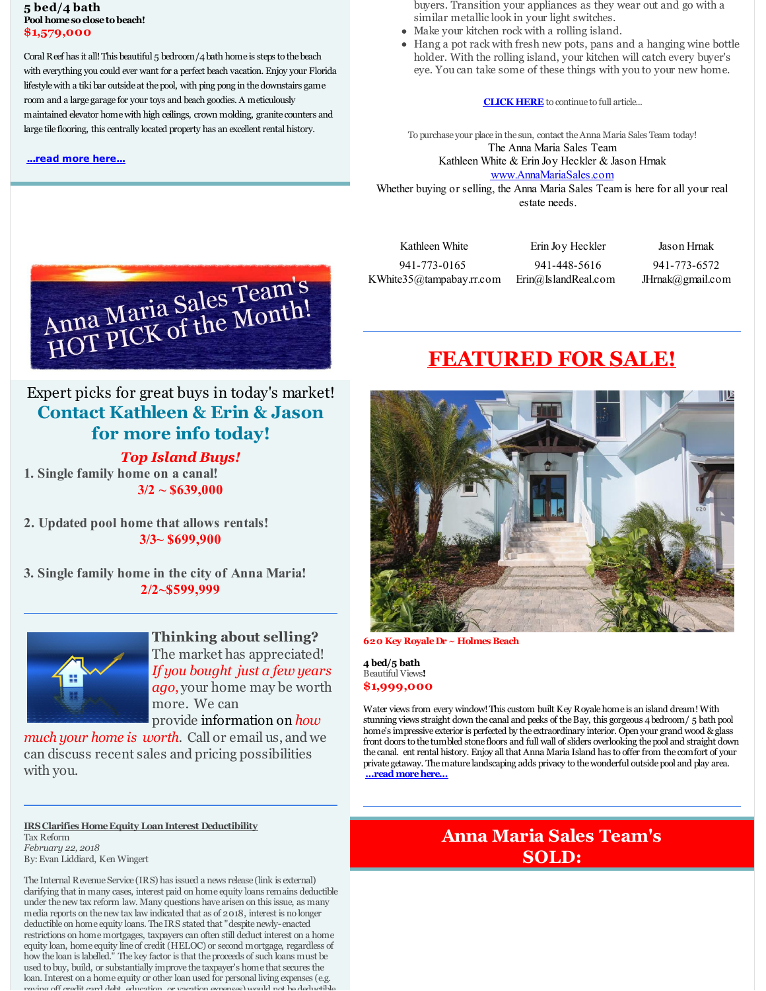#### **5 bed/4 bath** Pool home so close to beach! **\$1,579,000**

Coral Reef has it all!This beautiful 5 bedroom/4bath home is steps to thebeach with everything you could ever want for a perfect beach vacation. Enjoy your Florida lifestylewith a tiki bar outside at thepool, with ping pong in thedownstairs game room and a large garage for your toys and beach goodies. A meticulously maintained elevator homewith high ceilings, crown molding, granite counters and large tile flooring, this centrally located property has an excellent rental history.

#### **[...read](http://r20.rs6.net/tn.jsp?f=001ElMSZhcLPgFmzrEKt3IjBUJc2_WBsbz948XRjmdRZRJQUJgejFfth8CHCdJgNWmaqgjg9GgYDtambLuRNuOTmNiL2BAtONozywwKYYuZ-wp7sXCgeKoKY84keUr3BzjDWfa1gjseR77KF9t-qcrw7nNbP5FWVv4bcRsLujp0fdxmIf_YDWCeZ3FaT5npBwAy1KB-f7Xw4FimEFaF9dduDBTc21VcEolb0FMqa7zTr_jCHQszpKaTRQ==&c=&ch=) more here...**

buyers. Transition your appliances as they wear out and go with a similar metallic look in your light switches.

- Make your kitchen rock with a rolling island.
- Hang a pot rack with fresh new pots, pans and a hanging wine bottle holder. With the rolling island, your kitchen will catch every buyer's eye. You can take some of these things with you to your new home.

#### **[CLICK](http://r20.rs6.net/tn.jsp?f=001ElMSZhcLPgFmzrEKt3IjBUJc2_WBsbz948XRjmdRZRJQUJgejFfth__Ld3hBluluZmELoqz5oL0768iVgaozpNOQDoXzIQOV7Zej0ldAuwbJSpvN46gbAOAhPFPYSdAjR3b0fX-FaEg71vJbu6S94bjMsFkiF521kjyBjpQzlMJItmJcQxV5YyUjPA7iTR3ELE_j0CM8d2TASItP4hIZ4_MtHDWnkdZerH437PxbNm7567uraN-9n7mLhNgBGIe3cA11UPlTtCo=&c=&ch=) HERE** to continue to full article...

To purchase your place in the sun, contact theAnna Maria Sales Team today! The Anna Maria Sales Team Kathleen White & Erin Joy Heckler & Jason Hrnak [www.AnnaMariaSales.com](http://r20.rs6.net/tn.jsp?f=001ElMSZhcLPgFmzrEKt3IjBUJc2_WBsbz948XRjmdRZRJQUJgejFfth8AlViniTfaOq6wxibatYrPZ-RheZu7Sd6hW5gOdxqZ6jOlRNT8uRdkqhy33AMLVtaXuut7VqUNaFOwISJdfz0A8X0REFc5kkOW1TRtC58BWk0LlmEC22ncZYHKiMCn3Jw==&c=&ch=) Whether buying or selling, the Anna Maria Sales Team is here for all your real

estate needs.

Kathleen White 941-773-0165 KWhite35@tampabay.rr.com

Erin Joy Heckler 941-448-5616 Erin@IslandReal.com Jason Hrnak

941-773-6572 JHrnak@gmail.com



## Expert picks for great buys in today's market! **Contact Kathleen & Erin & Jason for more info today!**

#### *Top Island Buys!*

**1. Single family home on a canal! 3/2 ~ \$639,000**

**2. Updated pool home that allows rentals! 3/3~ \$699,900**

**3. Single family home in the city of Anna Maria! 2/2~\$599,999**



**Thinking about selling?** The market has appreciated! *If you bought just a few years ago*, your home may be worth more. We can provide information on *how*

*much your home is worth*. Call or email us, and we can discuss recent sales and pricing possibilities with you.

**IRSClarifies HomeEquity LoanInterest Deductibility** Tax Reform *February 22, 2018* By:Evan Liddiard, Ken Wingert

The Internal Revenue Service (IRS) has issued a news release (link is external) clarifying that in many cases, interest paid on home equity loans remains deductible under thenew tax reform law. Many questions have arisen on this issue, as many media reports on thenew tax law indicated that as of 2018, interest is no longer deductible on home equity loans. The IRS stated that "despitenewly-enacted restrictions on homemortgages, taxpayers can often still deduct interest on a home equity loan, home equity line of credit (HELOC) or second mortgage, regardless of how the loan is labelled." The key factor is that the proceeds of such loans must be used to buy, build, or substantially improve the taxpayer's home that secures the loan. Interest on a home equity or other loan used for personal living expenses (e.g. paying off credit card debt, education, or vacation expenses) would not bedeductible.

# **[FEATURED](http://r20.rs6.net/tn.jsp?f=001ElMSZhcLPgFmzrEKt3IjBUJc2_WBsbz948XRjmdRZRJQUJgejFfth9vAKLnX9PCEgvezn8AF4wK1OozoF4JezjcpU680h3FyFgrQ_eqEeqX72eG1emA96-jmnFh9xvpZTXR_vFpjPZWPq0pi-CFc0mnkqOBtkxUIoJq3F3TxTmud95uRGRKJMxkkG5ghWEe_LVv8wcr8acY3mJo0Sb-o97CyHnV3z2qY7tBbpQDYiGk=&c=&ch=) FOR SALE!**



**620 Key RoyaleDr ~ Holmes Beach**

**4 bed/5 bath** Beautiful Views**! \$1,999,000**

Water views from every window!This custom built Key Royalehome is an island dream!With stunning views straight down the canal and peeks of theBay, this gorgeous 4bedroom/ 5 bath pool home's impressive exterior is perfected by the extraordinary interior. Open your grand wood & glass front doors to the tumbled stone floors and full wall of sliders overlooking thepool and straight down the canal. ent rental history. Enjoy all that Anna Maria Island has to offer from the comfort of your private getaway. Themature landscaping adds privacy to thewonderful outsidepool and play area. **...read [morehere...](http://r20.rs6.net/tn.jsp?f=001ElMSZhcLPgFmzrEKt3IjBUJc2_WBsbz948XRjmdRZRJQUJgejFfth0y7g_QbilSRi-Tf8um92BrBiTSQPqcQ3WD1ZDlXi-IRFs7jpocUeLL7insHxEmq92UuHVwgxVsGFMxOcrnuOw0qFqdMNFXrwgm8W9EbOloQsOHFB6dM873KG9Q3CX8dSv06WnORsE5OjN_RJd5FfJ7FE8hztXOJYZgCn3qmfUNAKqhpi3LL6wOHBPZpT5KPJbmnTOEqsz67&c=&ch=)**

## **Anna Maria Sales Team's SOLD:**